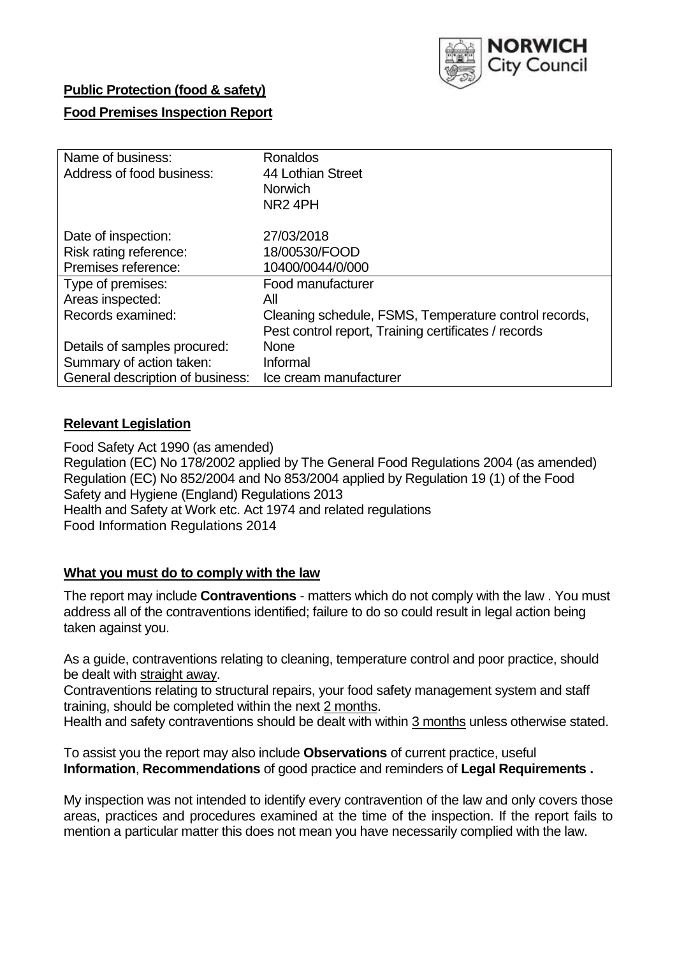

## **Public Protection (food & safety)**

## **Food Premises Inspection Report**

| Name of business:                | <b>Ronaldos</b>                                       |
|----------------------------------|-------------------------------------------------------|
| Address of food business:        | 44 Lothian Street                                     |
|                                  | <b>Norwich</b>                                        |
|                                  | NR <sub>2</sub> 4PH                                   |
| Date of inspection:              | 27/03/2018                                            |
| Risk rating reference:           | 18/00530/FOOD                                         |
| Premises reference:              | 10400/0044/0/000                                      |
| Type of premises:                | Food manufacturer                                     |
| Areas inspected:                 | All                                                   |
| Records examined:                | Cleaning schedule, FSMS, Temperature control records, |
|                                  | Pest control report, Training certificates / records  |
| Details of samples procured:     | <b>None</b>                                           |
| Summary of action taken:         | Informal                                              |
| General description of business: | Ice cream manufacturer                                |

## **Relevant Legislation**

Food Safety Act 1990 (as amended) Regulation (EC) No 178/2002 applied by The General Food Regulations 2004 (as amended) Regulation (EC) No 852/2004 and No 853/2004 applied by Regulation 19 (1) of the Food Safety and Hygiene (England) Regulations 2013 Health and Safety at Work etc. Act 1974 and related regulations Food Information Regulations 2014

## **What you must do to comply with the law**

The report may include **Contraventions** - matters which do not comply with the law . You must address all of the contraventions identified; failure to do so could result in legal action being taken against you.

As a guide, contraventions relating to cleaning, temperature control and poor practice, should be dealt with straight away.

Contraventions relating to structural repairs, your food safety management system and staff training, should be completed within the next 2 months.

Health and safety contraventions should be dealt with within 3 months unless otherwise stated.

To assist you the report may also include **Observations** of current practice, useful **Information**, **Recommendations** of good practice and reminders of **Legal Requirements .**

My inspection was not intended to identify every contravention of the law and only covers those areas, practices and procedures examined at the time of the inspection. If the report fails to mention a particular matter this does not mean you have necessarily complied with the law.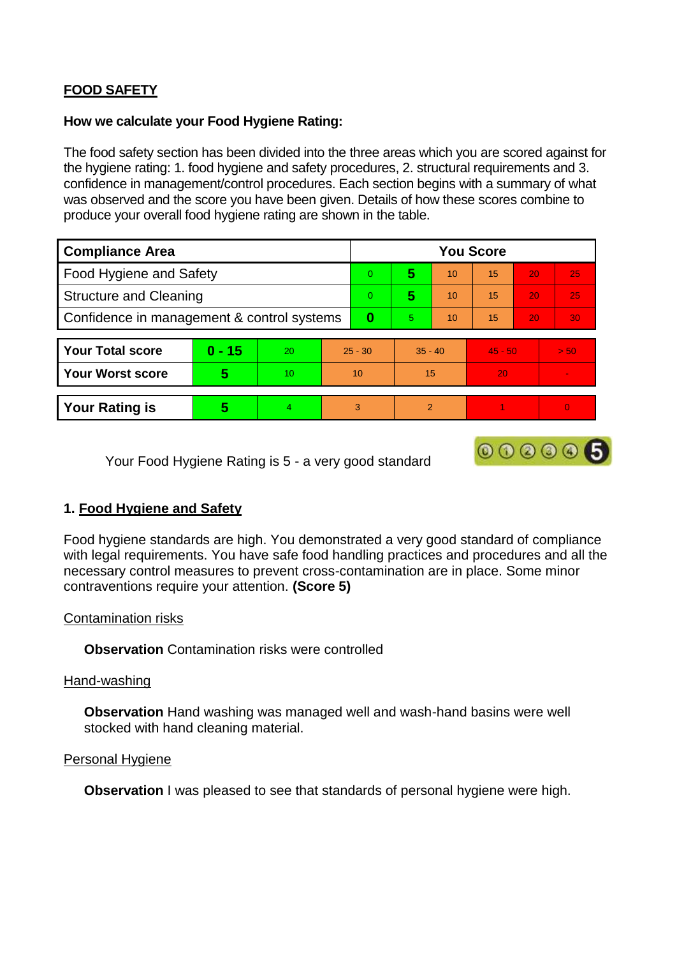# **FOOD SAFETY**

#### **How we calculate your Food Hygiene Rating:**

The food safety section has been divided into the three areas which you are scored against for the hygiene rating: 1. food hygiene and safety procedures, 2. structural requirements and 3. confidence in management/control procedures. Each section begins with a summary of what was observed and the score you have been given. Details of how these scores combine to produce your overall food hygiene rating are shown in the table.

| <b>Compliance Area</b>                     |          |    |    | <b>You Score</b> |                |    |           |    |      |  |  |
|--------------------------------------------|----------|----|----|------------------|----------------|----|-----------|----|------|--|--|
| Food Hygiene and Safety                    |          |    |    |                  | 5              | 10 | 15        | 20 | 25   |  |  |
| <b>Structure and Cleaning</b>              |          |    |    |                  | 5              | 10 | 15        | 20 | 25   |  |  |
| Confidence in management & control systems |          |    |    | $\bf{0}$         | 5              | 10 | 15        | 20 | 30   |  |  |
|                                            |          |    |    |                  |                |    |           |    |      |  |  |
| <b>Your Total score</b>                    | $0 - 15$ | 20 |    | $25 - 30$        | $35 - 40$      |    | $45 - 50$ |    | > 50 |  |  |
| <b>Your Worst score</b>                    | 5        | 10 | 10 |                  | 15             |    | 20        |    |      |  |  |
|                                            |          |    |    |                  |                |    |           |    |      |  |  |
| <b>Your Rating is</b>                      | 5        | 4  | 3  |                  | $\mathfrak{p}$ |    |           |    | 0    |  |  |

Your Food Hygiene Rating is 5 - a very good standard

# 000006

## **1. Food Hygiene and Safety**

Food hygiene standards are high. You demonstrated a very good standard of compliance with legal requirements. You have safe food handling practices and procedures and all the necessary control measures to prevent cross-contamination are in place. Some minor contraventions require your attention. **(Score 5)**

## Contamination risks

**Observation** Contamination risks were controlled

## Hand-washing

**Observation** Hand washing was managed well and wash-hand basins were well stocked with hand cleaning material.

#### Personal Hygiene

**Observation** I was pleased to see that standards of personal hygiene were high.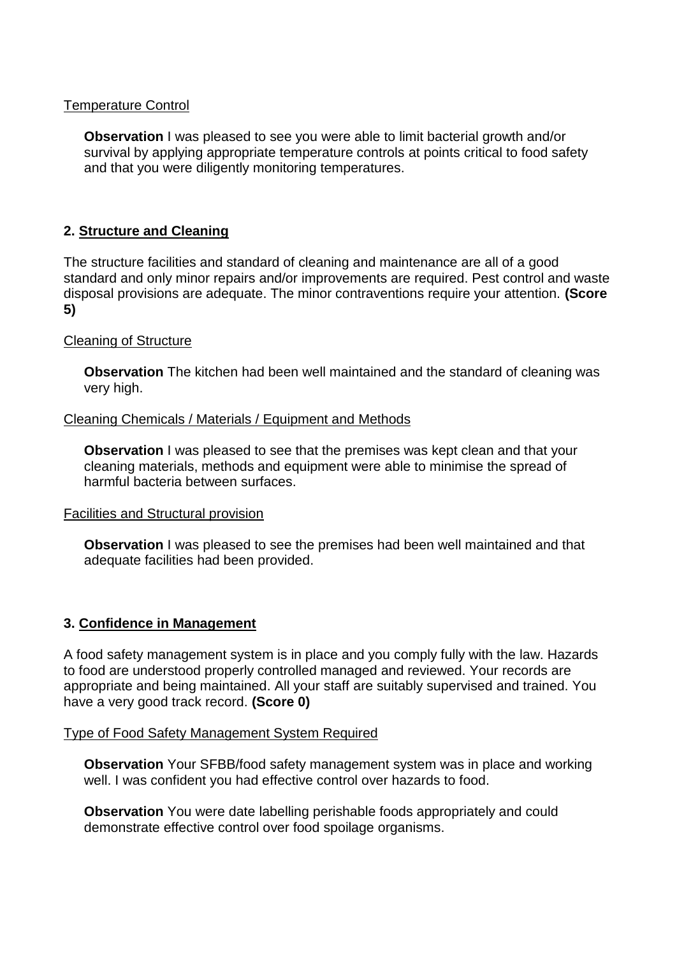#### Temperature Control

**Observation** I was pleased to see you were able to limit bacterial growth and/or survival by applying appropriate temperature controls at points critical to food safety and that you were diligently monitoring temperatures.

## **2. Structure and Cleaning**

The structure facilities and standard of cleaning and maintenance are all of a good standard and only minor repairs and/or improvements are required. Pest control and waste disposal provisions are adequate. The minor contraventions require your attention. **(Score 5)**

#### Cleaning of Structure

**Observation** The kitchen had been well maintained and the standard of cleaning was very high.

#### Cleaning Chemicals / Materials / Equipment and Methods

**Observation** I was pleased to see that the premises was kept clean and that your cleaning materials, methods and equipment were able to minimise the spread of harmful bacteria between surfaces.

#### Facilities and Structural provision

**Observation** I was pleased to see the premises had been well maintained and that adequate facilities had been provided.

## **3. Confidence in Management**

A food safety management system is in place and you comply fully with the law. Hazards to food are understood properly controlled managed and reviewed. Your records are appropriate and being maintained. All your staff are suitably supervised and trained. You have a very good track record. **(Score 0)**

#### Type of Food Safety Management System Required

**Observation** Your SFBB/food safety management system was in place and working well. I was confident you had effective control over hazards to food.

**Observation** You were date labelling perishable foods appropriately and could demonstrate effective control over food spoilage organisms.